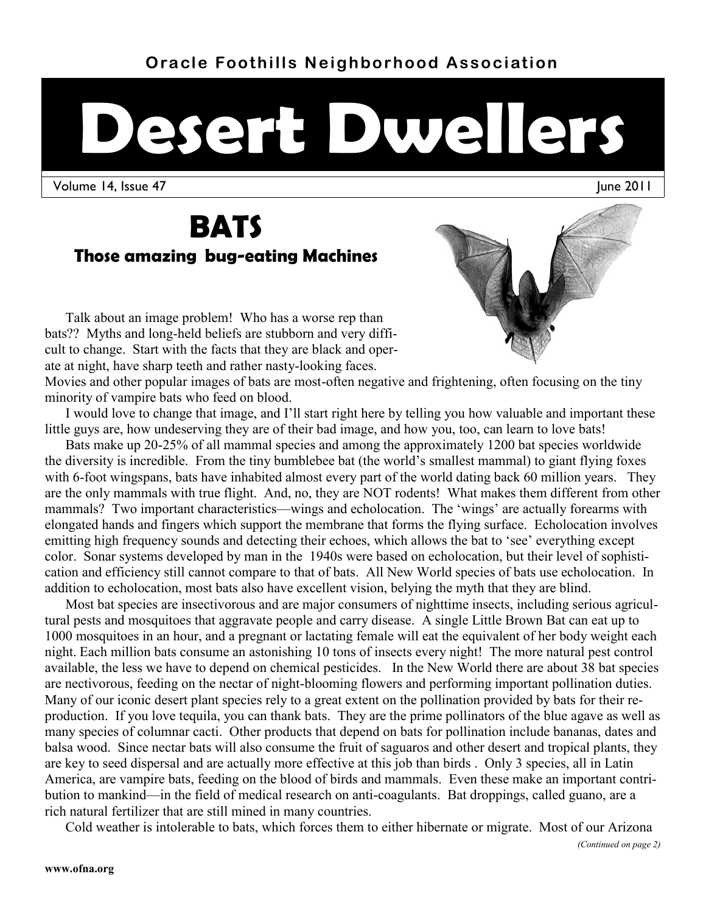# **Oracle Foothills Neighborhood Association**

# **Desert Dwellers**

Volume 14, Issue 47 June 2011

# **BATS**

# **Those amazing bug-eating Machines**

Talk about an image problem! Who has a worse rep than bats?? Myths and long-held beliefs are stubborn and very difficult to change. Start with the facts that they are black and operate at night, have sharp teeth and rather nasty-looking faces.

Movies and other popular images of bats are most-often negative and frightening, often focusing on the tiny minority of vampire bats who feed on blood.

I would love to change that image, and I'll start right here by telling you how valuable and important these little guys are, how undeserving they are of their bad image, and how you, too, can learn to love bats!

Bats make up 20-25% of all mammal species and among the approximately 1200 bat species worldwide the diversity is incredible. From the tiny bumblebee bat (the world's smallest mammal) to giant flying foxes with 6-foot wingspans, bats have inhabited almost every part of the world dating back 60 million years. They are the only mammals with true flight. And, no, they are NOT rodents! What makes them different from other mammals? Two important characteristics—wings and echolocation. The 'wings' are actually forearms with elongated hands and fingers which support the membrane that forms the flying surface. Echolocation involves emitting high frequency sounds and detecting their echoes, which allows the bat to 'see' everything except color. Sonar systems developed by man in the 1940s were based on echolocation, but their level of sophistication and efficiency still cannot compare to that of bats. All New World species of bats use echolocation. In addition to echolocation, most bats also have excellent vision, belying the myth that they are blind.

Most bat species are insectivorous and are major consumers of nighttime insects, including serious agricultural pests and mosquitoes that aggravate people and carry disease. A single Little Brown Bat can eat up to 1000 mosquitoes in an hour, and a pregnant or lactating female will eat the equivalent of her body weight each night. Each million bats consume an astonishing 10 tons of insects every night! The more natural pest control available, the less we have to depend on chemical pesticides. In the New World there are about 38 bat species are nectivorous, feeding on the nectar of night-blooming flowers and performing important pollination duties. Many of our iconic desert plant species rely to a great extent on the pollination provided by bats for their reproduction. If you love tequila, you can thank bats. They are the prime pollinators of the blue agave as well as many species of columnar cacti. Other products that depend on bats for pollination include bananas, dates and balsa wood. Since nectar bats will also consume the fruit of saguaros and other desert and tropical plants, they are key to seed dispersal and are actually more effective at this job than birds . Only 3 species, all in Latin America, are vampire bats, feeding on the blood of birds and mammals. Even these make an important contribution to mankind—in the field of medical research on anti-coagulants. Bat droppings, called guano, are a rich natural fertilizer that are still mined in many countries.

Cold weather is intolerable to bats, which forces them to either hibernate or migrate. Most of our Arizona

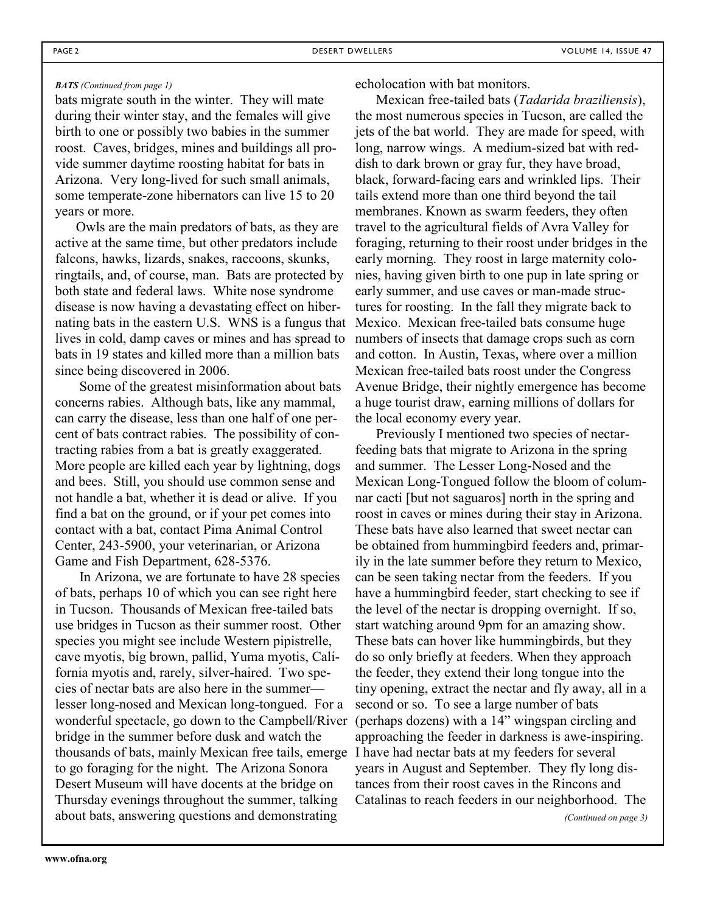#### *BATS (Continued from page 1)*

bats migrate south in the winter. They will mate during their winter stay, and the females will give birth to one or possibly two babies in the summer roost. Caves, bridges, mines and buildings all provide summer daytime roosting habitat for bats in Arizona. Very long-lived for such small animals, some temperate-zone hibernators can live 15 to 20 years or more.

Owls are the main predators of bats, as they are active at the same time, but other predators include falcons, hawks, lizards, snakes, raccoons, skunks, ringtails, and, of course, man. Bats are protected by both state and federal laws. White nose syndrome disease is now having a devastating effect on hibernating bats in the eastern U.S. WNS is a fungus that lives in cold, damp caves or mines and has spread to bats in 19 states and killed more than a million bats since being discovered in 2006.

Some of the greatest misinformation about bats concerns rabies. Although bats, like any mammal, can carry the disease, less than one half of one percent of bats contract rabies. The possibility of contracting rabies from a bat is greatly exaggerated. More people are killed each year by lightning, dogs and bees. Still, you should use common sense and not handle a bat, whether it is dead or alive. If you find a bat on the ground, or if your pet comes into contact with a bat, contact Pima Animal Control Center, 243-5900, your veterinarian, or Arizona Game and Fish Department, 628-5376.

In Arizona, we are fortunate to have 28 species of bats, perhaps 10 of which you can see right here in Tucson. Thousands of Mexican free-tailed bats use bridges in Tucson as their summer roost. Other species you might see include Western pipistrelle, cave myotis, big brown, pallid, Yuma myotis, California myotis and, rarely, silver-haired. Two species of nectar bats are also here in the summer lesser long-nosed and Mexican long-tongued. For a wonderful spectacle, go down to the Campbell/River bridge in the summer before dusk and watch the thousands of bats, mainly Mexican free tails, emerge to go foraging for the night. The Arizona Sonora Desert Museum will have docents at the bridge on Thursday evenings throughout the summer, talking about bats, answering questions and demonstrating

echolocation with bat monitors.

Mexican free-tailed bats (*Tadarida braziliensis*), the most numerous species in Tucson, are called the jets of the bat world. They are made for speed, with long, narrow wings. A medium-sized bat with reddish to dark brown or gray fur, they have broad, black, forward-facing ears and wrinkled lips. Their tails extend more than one third beyond the tail membranes. Known as swarm feeders, they often travel to the agricultural fields of Avra Valley for foraging, returning to their roost under bridges in the early morning. They roost in large maternity colonies, having given birth to one pup in late spring or early summer, and use caves or man-made structures for roosting. In the fall they migrate back to Mexico. Mexican free-tailed bats consume huge numbers of insects that damage crops such as corn and cotton. In Austin, Texas, where over a million Mexican free-tailed bats roost under the Congress Avenue Bridge, their nightly emergence has become a huge tourist draw, earning millions of dollars for the local economy every year.

Previously I mentioned two species of nectarfeeding bats that migrate to Arizona in the spring and summer. The Lesser Long-Nosed and the Mexican Long-Tongued follow the bloom of columnar cacti [but not saguaros] north in the spring and roost in caves or mines during their stay in Arizona. These bats have also learned that sweet nectar can be obtained from hummingbird feeders and, primarily in the late summer before they return to Mexico, can be seen taking nectar from the feeders. If you have a hummingbird feeder, start checking to see if the level of the nectar is dropping overnight. If so, start watching around 9pm for an amazing show. These bats can hover like hummingbirds, but they do so only briefly at feeders. When they approach the feeder, they extend their long tongue into the tiny opening, extract the nectar and fly away, all in a second or so. To see a large number of bats (perhaps dozens) with a 14" wingspan circling and approaching the feeder in darkness is awe-inspiring. I have had nectar bats at my feeders for several years in August and September. They fly long distances from their roost caves in the Rincons and Catalinas to reach feeders in our neighborhood. The *(Continued on page 3)*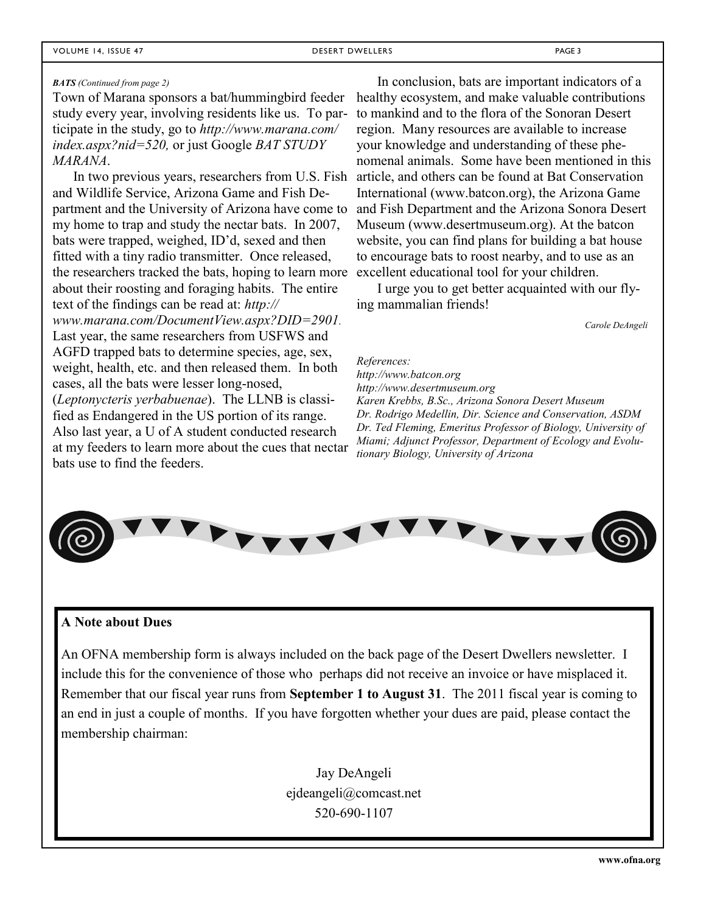#### *BATS (Continued from page 2)*

Town of Marana sponsors a bat/hummingbird feeder study every year, involving residents like us. To participate in the study, go to *http://www.marana.com/ index.aspx?nid=520,* or just Google *BAT STUDY MARANA*.

In two previous years, researchers from U.S. Fish and Wildlife Service, Arizona Game and Fish Department and the University of Arizona have come to my home to trap and study the nectar bats. In 2007, bats were trapped, weighed, ID'd, sexed and then fitted with a tiny radio transmitter. Once released, the researchers tracked the bats, hoping to learn more about their roosting and foraging habits. The entire text of the findings can be read at: *http:// www.marana.com/DocumentView.aspx?DID=2901.*  Last year, the same researchers from USFWS and AGFD trapped bats to determine species, age, sex, weight, health, etc. and then released them. In both cases, all the bats were lesser long-nosed, (*Leptonycteris yerbabuenae*). The LLNB is classified as Endangered in the US portion of its range. Also last year, a U of A student conducted research at my feeders to learn more about the cues that nectar bats use to find the feeders.

In conclusion, bats are important indicators of a healthy ecosystem, and make valuable contributions to mankind and to the flora of the Sonoran Desert region. Many resources are available to increase your knowledge and understanding of these phenomenal animals. Some have been mentioned in this article, and others can be found at Bat Conservation International (www.batcon.org), the Arizona Game and Fish Department and the Arizona Sonora Desert Museum (www.desertmuseum.org). At the batcon website, you can find plans for building a bat house to encourage bats to roost nearby, and to use as an excellent educational tool for your children.

I urge you to get better acquainted with our flying mammalian friends!

*Carole DeAngeli*

*References: http://www.batcon.org http://www.desertmuseum.org Karen Krebbs, B.Sc., Arizona Sonora Desert Museum Dr. Rodrigo Medellin, Dir. Science and Conservation, ASDM Dr. Ted Fleming, Emeritus Professor of Biology, University of Miami; Adjunct Professor, Department of Ecology and Evolutionary Biology, University of Arizona*



#### **A Note about Dues**

An OFNA membership form is always included on the back page of the Desert Dwellers newsletter. I include this for the convenience of those who perhaps did not receive an invoice or have misplaced it. Remember that our fiscal year runs from **September 1 to August 31**. The 2011 fiscal year is coming to an end in just a couple of months. If you have forgotten whether your dues are paid, please contact the membership chairman:

> Jay DeAngeli ejdeangeli@comcast.net 520-690-1107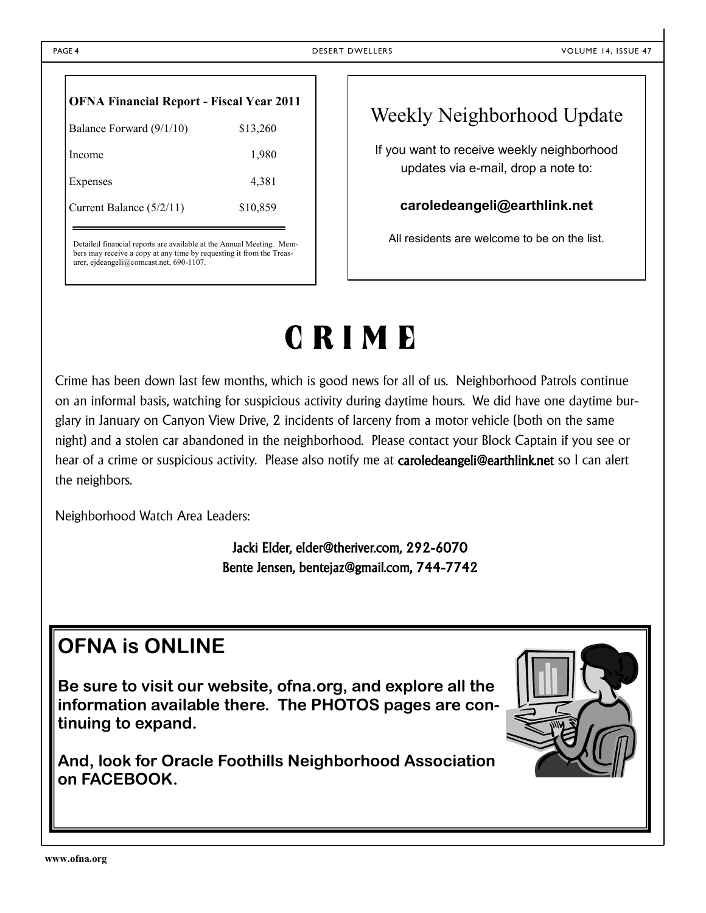| <b>OFNA Financial Report - Fiscal Year 2011</b> |          |  |  |  |  |  |
|-------------------------------------------------|----------|--|--|--|--|--|
| Balance Forward (9/1/10)                        | \$13,260 |  |  |  |  |  |
| Income                                          | 1,980    |  |  |  |  |  |
| Expenses                                        | 4,381    |  |  |  |  |  |
| Current Balance (5/2/11)                        | \$10,859 |  |  |  |  |  |
|                                                 |          |  |  |  |  |  |

Detailed financial reports are available at the Annual Meeting. Members may receive a copy at any time by requesting it from the Treasurer, ejdeangeli@comcast.net, 690-1107.

# Weekly Neighborhood Update

If you want to receive weekly neighborhood updates via e-mail, drop a note to:

#### **caroledeangeli@earthlink.net**

All residents are welcome to be on the list.

# **C R I M E**

Crime has been down last few months, which is good news for all of us. Neighborhood Patrols continue on an informal basis, watching for suspicious activity during daytime hours. We did have one daytime burglary in January on Canyon View Drive, 2 incidents of larceny from a motor vehicle (both on the same night) and a stolen car abandoned in the neighborhood. Please contact your Block Captain if you see or hear of a crime or suspicious activity. Please also notify me at **caroledeangeli@earthlink.net** so I can alert the neighbors.

Neighborhood Watch Area Leaders:

Jacki Elder, elder@theriver.com, 292-6070 Bente Jensen, bentejaz@gmail.com, 744-7742

# **OFNA is ONLINE**

**Be sure to visit our website, ofna.org, and explore all the information available there. The PHOTOS pages are continuing to expand.**

**And, look for Oracle Foothills Neighborhood Association on FACEBOOK.**

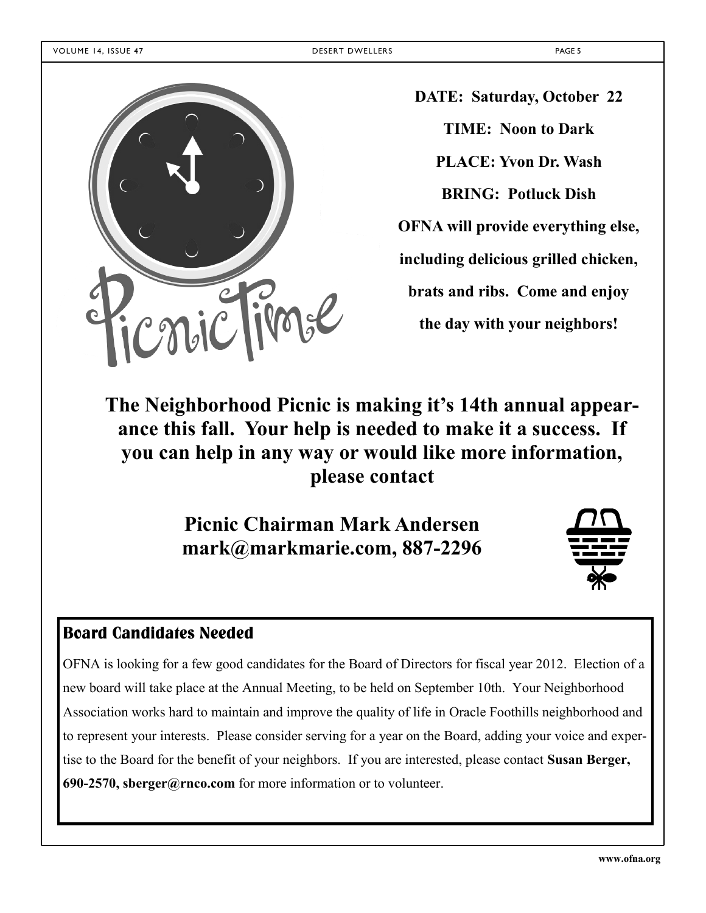

**DATE: Saturday, October 22 TIME: Noon to Dark PLACE: Yvon Dr. Wash BRING: Potluck Dish OFNA will provide everything else, including delicious grilled chicken, brats and ribs. Come and enjoy the day with your neighbors!**

# **The Neighborhood Picnic is making it's 14th annual appearance this fall. Your help is needed to make it a success. If you can help in any way or would like more information, please contact**

**Picnic Chairman Mark Andersen mark@markmarie.com, 887-2296** 



# **Board Candidates Needed**

OFNA is looking for a few good candidates for the Board of Directors for fiscal year 2012. Election of a new board will take place at the Annual Meeting, to be held on September 10th. Your Neighborhood Association works hard to maintain and improve the quality of life in Oracle Foothills neighborhood and to represent your interests. Please consider serving for a year on the Board, adding your voice and expertise to the Board for the benefit of your neighbors. If you are interested, please contact **Susan Berger, 690-2570, sberger@rnco.com** for more information or to volunteer.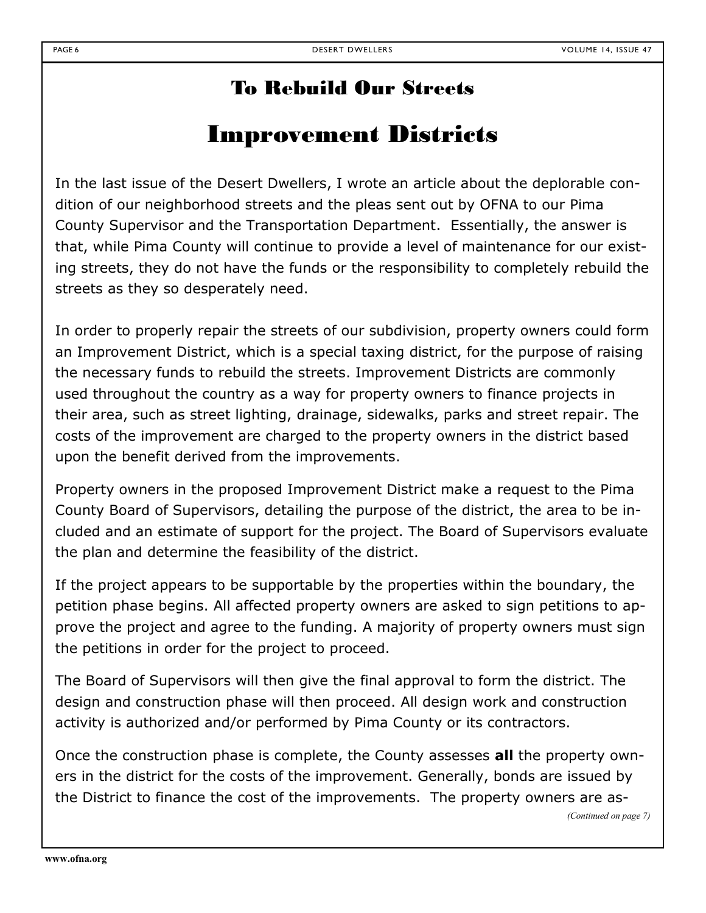# To Rebuild Our Streets

# Improvement Districts

In the last issue of the Desert Dwellers, I wrote an article about the deplorable condition of our neighborhood streets and the pleas sent out by OFNA to our Pima County Supervisor and the Transportation Department. Essentially, the answer is that, while Pima County will continue to provide a level of maintenance for our existing streets, they do not have the funds or the responsibility to completely rebuild the streets as they so desperately need.

In order to properly repair the streets of our subdivision, property owners could form an Improvement District, which is a special taxing district, for the purpose of raising the necessary funds to rebuild the streets. Improvement Districts are commonly used throughout the country as a way for property owners to finance projects in their area, such as street lighting, drainage, sidewalks, parks and street repair. The costs of the improvement are charged to the property owners in the district based upon the benefit derived from the improvements.

Property owners in the proposed Improvement District make a request to the Pima County Board of Supervisors, detailing the purpose of the district, the area to be included and an estimate of support for the project. The Board of Supervisors evaluate the plan and determine the feasibility of the district.

If the project appears to be supportable by the properties within the boundary, the petition phase begins. All affected property owners are asked to sign petitions to approve the project and agree to the funding. A majority of property owners must sign the petitions in order for the project to proceed.

The Board of Supervisors will then give the final approval to form the district. The design and construction phase will then proceed. All design work and construction activity is authorized and/or performed by Pima County or its contractors.

Once the construction phase is complete, the County assesses **all** the property owners in the district for the costs of the improvement. Generally, bonds are issued by the District to finance the cost of the improvements. The property owners are as-

*(Continued on page 7)*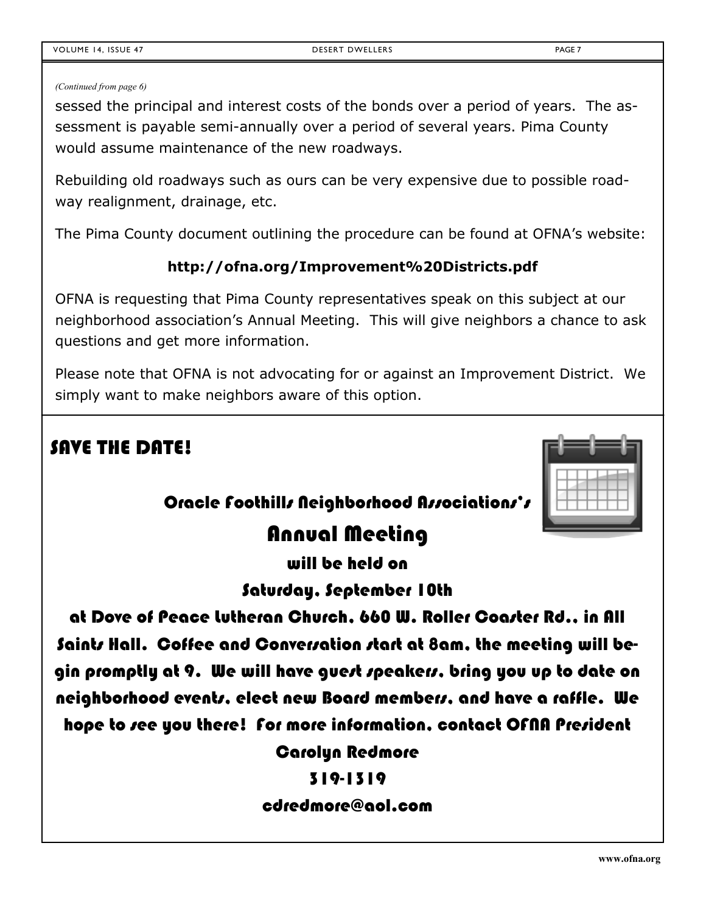#### *(Continued from page 6)*

sessed the principal and interest costs of the bonds over a period of years. The assessment is payable semi-annually over a period of several years. Pima County would assume maintenance of the new roadways.

Rebuilding old roadways such as ours can be very expensive due to possible roadway realignment, drainage, etc.

The Pima County document outlining the procedure can be found at OFNA's website:

## **http://ofna.org/Improvement%20Districts.pdf**

OFNA is requesting that Pima County representatives speak on this subject at our neighborhood association's Annual Meeting. This will give neighbors a chance to ask questions and get more information.

Please note that OFNA is not advocating for or against an Improvement District. We simply want to make neighbors aware of this option.

# SAVE THE DATE!

# Oracle Foothills Neighborhood Associations's

# Annual Meeting

will be held on

Saturday, September 10th

at Dove of Peace Lutheran Church, 660 W. Roller Coaster Rd., in All Saints Hall. Coffee and Conversation start at 8am, the meeting will begin promptly at 9. We will have gue*rt sp*eakers, bring you up to date on neighborhood events, elect new Board members, and have a raffle. We hope to see you there! For more information, contact OFNA President

Carolyn Redmore

## 319-1319

## cdredmore@aol.com